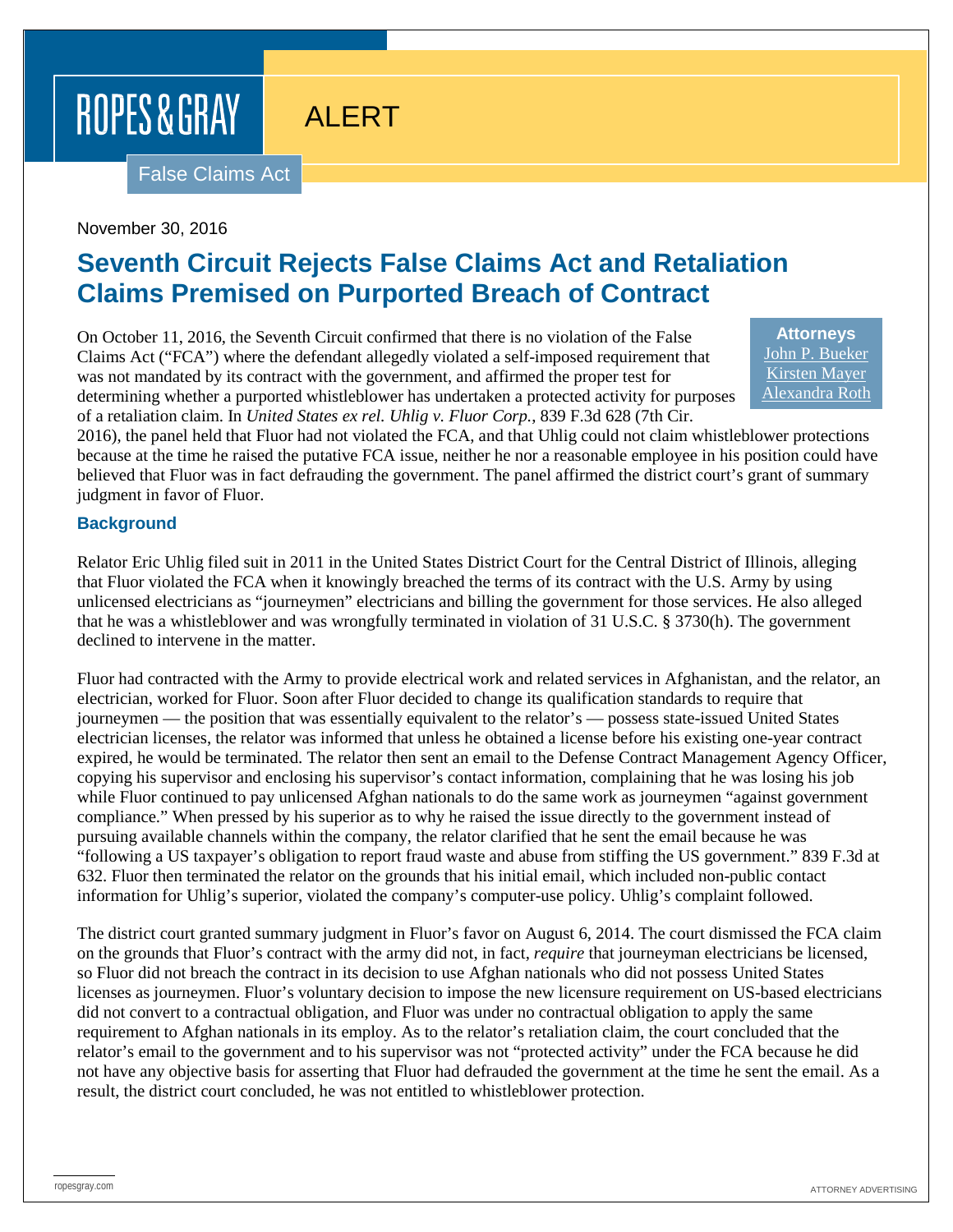# ROPES & GRAY

## ALERT

False Claims Act

November 30, 2016

### **Seventh Circuit Rejects False Claims Act and Retaliation Claims Premised on Purported Breach of Contract**

On October 11, 2016, the Seventh Circuit confirmed that there is no violation of the False Claims Act ("FCA") where the defendant allegedly violated a self-imposed requirement that was not mandated by its contract with the government, and affirmed the proper test for determining whether a purported whistleblower has undertaken a protected activity for purposes of a retaliation claim. In *United States ex rel. Uhlig v. Fluor Corp.*, 839 F.3d 628 (7th Cir.

**Attorneys** [John P. Bueker](https://www.ropesgray.com/biographies/b/john-p-bueker.aspx) [Kirsten Mayer](https://www.ropesgray.com/biographies/m/kirsten-mayer.aspx) [Alexandra Roth](https://www.ropesgray.com/biographies/r/alexandra-roth.aspx)

2016), the panel held that Fluor had not violated the FCA, and that Uhlig could not claim whistleblower protections because at the time he raised the putative FCA issue, neither he nor a reasonable employee in his position could have believed that Fluor was in fact defrauding the government. The panel affirmed the district court's grant of summary judgment in favor of Fluor.

#### **Background**

Relator Eric Uhlig filed suit in 2011 in the United States District Court for the Central District of Illinois, alleging that Fluor violated the FCA when it knowingly breached the terms of its contract with the U.S. Army by using unlicensed electricians as "journeymen" electricians and billing the government for those services. He also alleged that he was a whistleblower and was wrongfully terminated in violation of 31 U.S.C. § 3730(h). The government declined to intervene in the matter.

Fluor had contracted with the Army to provide electrical work and related services in Afghanistan, and the relator, an electrician, worked for Fluor. Soon after Fluor decided to change its qualification standards to require that journeymen — the position that was essentially equivalent to the relator's — possess state-issued United States electrician licenses, the relator was informed that unless he obtained a license before his existing one-year contract expired, he would be terminated. The relator then sent an email to the Defense Contract Management Agency Officer, copying his supervisor and enclosing his supervisor's contact information, complaining that he was losing his job while Fluor continued to pay unlicensed Afghan nationals to do the same work as journeymen "against government compliance." When pressed by his superior as to why he raised the issue directly to the government instead of pursuing available channels within the company, the relator clarified that he sent the email because he was "following a US taxpayer's obligation to report fraud waste and abuse from stiffing the US government." 839 F.3d at 632. Fluor then terminated the relator on the grounds that his initial email, which included non-public contact information for Uhlig's superior, violated the company's computer-use policy. Uhlig's complaint followed.

The district court granted summary judgment in Fluor's favor on August 6, 2014. The court dismissed the FCA claim on the grounds that Fluor's contract with the army did not, in fact, *require* that journeyman electricians be licensed, so Fluor did not breach the contract in its decision to use Afghan nationals who did not possess United States licenses as journeymen. Fluor's voluntary decision to impose the new licensure requirement on US-based electricians did not convert to a contractual obligation, and Fluor was under no contractual obligation to apply the same requirement to Afghan nationals in its employ. As to the relator's retaliation claim, the court concluded that the relator's email to the government and to his supervisor was not "protected activity" under the FCA because he did not have any objective basis for asserting that Fluor had defrauded the government at the time he sent the email. As a result, the district court concluded, he was not entitled to whistleblower protection.